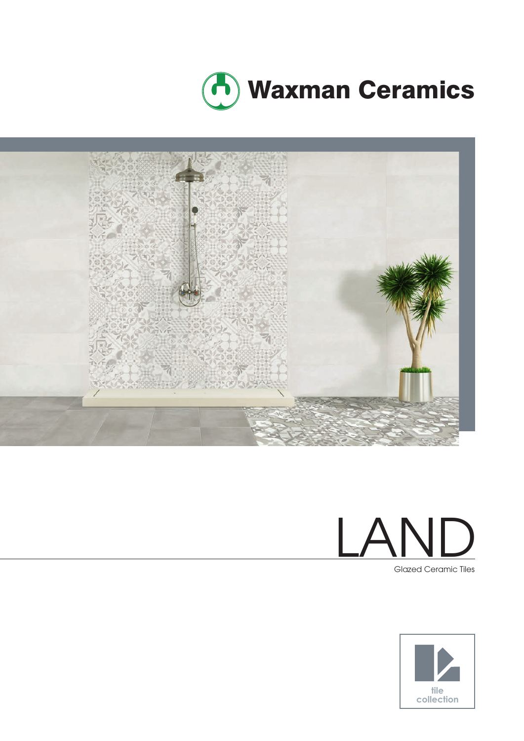





Glazed Ceramic Tiles

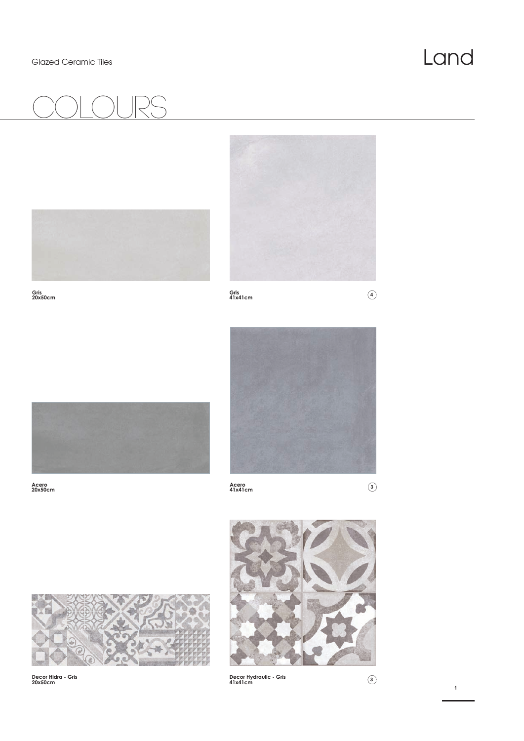### Glazed Ceramic Tiles **Land**

# COlours





**Gris 20x50cm** 





**Acero 20x50cm** 



**Acero 41x41cm <sup>3</sup>**



**Decor Hidra - Gris 20x50cm** 



**Decor Hydraulic - Gris 41x41cm <sup>3</sup>**

**1**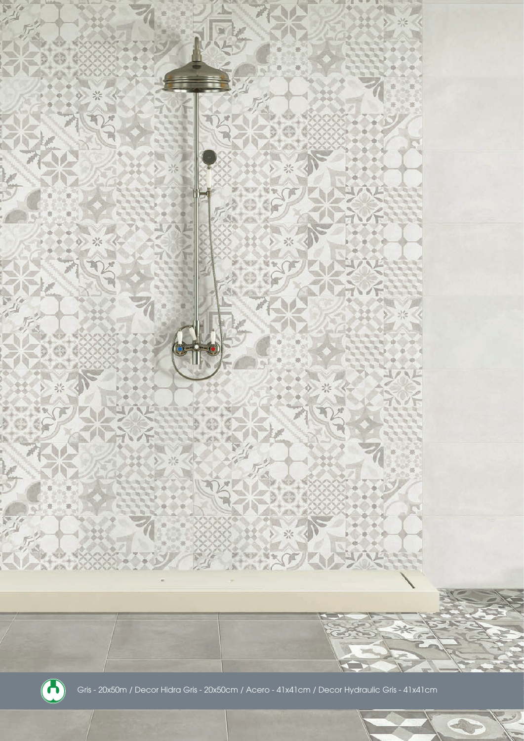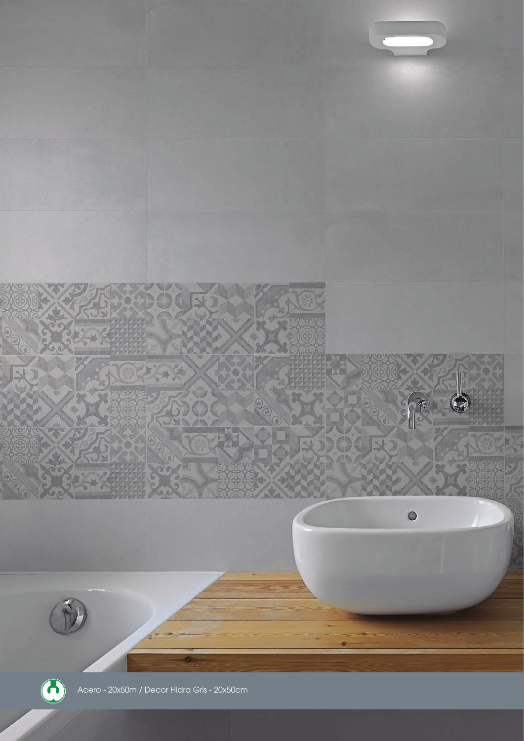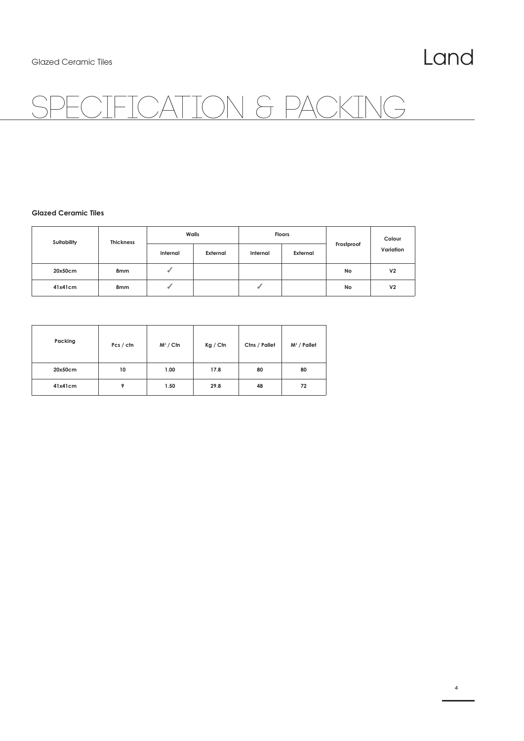## CATION & PACKING

### **Glazed Ceramic Tiles**

| Suitability | <b>Thickness</b> | Walls    |          | <b>Floors</b> |          |            | Colour         |
|-------------|------------------|----------|----------|---------------|----------|------------|----------------|
|             |                  | Internal | External | Internal      | External | Frostproof | Variation      |
| 20x50cm     | 8 <sub>mm</sub>  | ٠        |          |               |          | No         | V <sub>2</sub> |
| 41x41cm     | 8mm              | ٠        |          |               |          | No         | V <sub>2</sub> |

| Packing | Pcs / ctn | $M^2 /$ Ctn | Kg / Cfn | Ctns / Pallet | $M^2$ / Pallet |
|---------|-----------|-------------|----------|---------------|----------------|
| 20x50cm | 10        | 1.00        | 17.8     | 80            | 80             |
| 41x41cm | 9         | 1.50        | 29.8     | 48            | 72             |